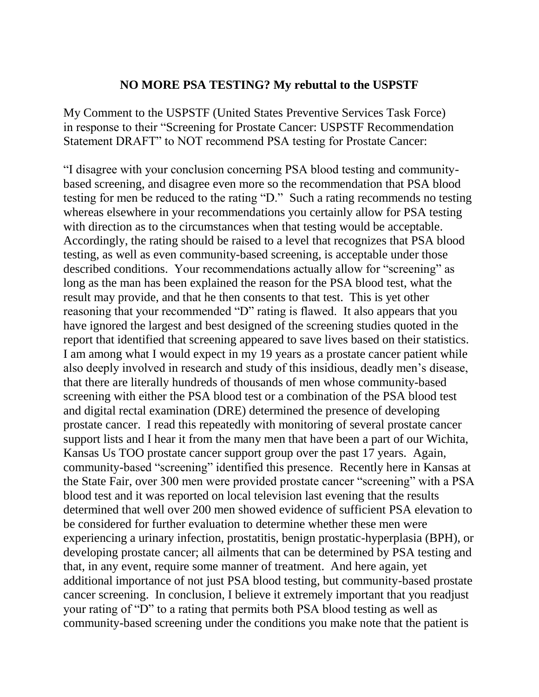## **NO MORE PSA TESTING? My rebuttal to the USPSTF**

My Comment to the USPSTF (United States Preventive Services Task Force) in response to their "Screening for Prostate Cancer: USPSTF Recommendation Statement DRAFT" to NOT recommend PSA testing for Prostate Cancer:

"I disagree with your conclusion concerning PSA blood testing and communitybased screening, and disagree even more so the recommendation that PSA blood testing for men be reduced to the rating "D." Such a rating recommends no testing whereas elsewhere in your recommendations you certainly allow for PSA testing with direction as to the circumstances when that testing would be acceptable. Accordingly, the rating should be raised to a level that recognizes that PSA blood testing, as well as even community-based screening, is acceptable under those described conditions. Your recommendations actually allow for "screening" as long as the man has been explained the reason for the PSA blood test, what the result may provide, and that he then consents to that test. This is yet other reasoning that your recommended "D" rating is flawed. It also appears that you have ignored the largest and best designed of the screening studies quoted in the report that identified that screening appeared to save lives based on their statistics. I am among what I would expect in my 19 years as a prostate cancer patient while also deeply involved in research and study of this insidious, deadly men's disease, that there are literally hundreds of thousands of men whose community-based screening with either the PSA blood test or a combination of the PSA blood test and digital rectal examination (DRE) determined the presence of developing prostate cancer. I read this repeatedly with monitoring of several prostate cancer support lists and I hear it from the many men that have been a part of our Wichita, Kansas Us TOO prostate cancer support group over the past 17 years. Again, community-based "screening" identified this presence. Recently here in Kansas at the State Fair, over 300 men were provided prostate cancer "screening" with a PSA blood test and it was reported on local television last evening that the results determined that well over 200 men showed evidence of sufficient PSA elevation to be considered for further evaluation to determine whether these men were experiencing a urinary infection, prostatitis, benign prostatic-hyperplasia (BPH), or developing prostate cancer; all ailments that can be determined by PSA testing and that, in any event, require some manner of treatment. And here again, yet additional importance of not just PSA blood testing, but community-based prostate cancer screening. In conclusion, I believe it extremely important that you readjust your rating of "D" to a rating that permits both PSA blood testing as well as community-based screening under the conditions you make note that the patient is